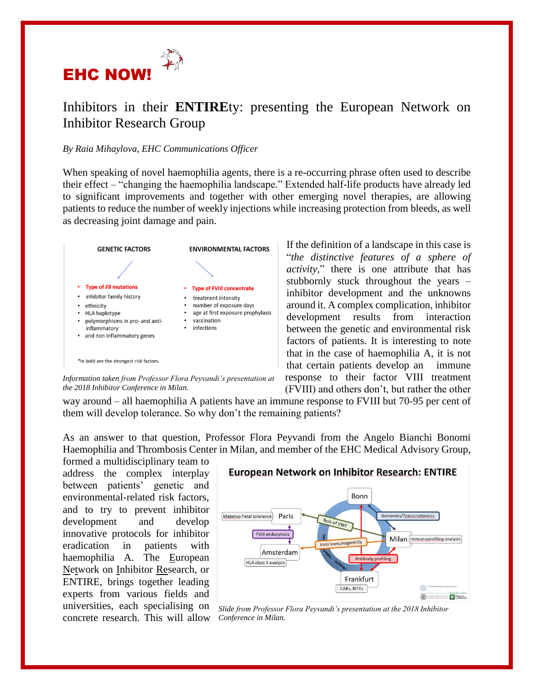

## Inhibitors in their **ENTIRE**ty: presenting the European Network on Inhibitor Research Group

## *By Raia Mihaylova, EHC Communications Officer*

When speaking of novel haemophilia agents, there is a re-occurring phrase often used to describe their effect – "changing the haemophilia landscape." Extended half-life products have already led to significant improvements and together with other emerging novel therapies, are allowing patients to reduce the number of weekly injections while increasing protection from bleeds, as well as decreasing joint damage and pain.



*Information taken from Professor Flora Peyvandi's presentation at the 2018 Inhibitor Conference in Milan.* 

If the definition of a landscape in this case is "*the distinctive features of a sphere of activity,*" there is one attribute that has stubbornly stuck throughout the years – inhibitor development and the unknowns around it. A complex complication, inhibitor development results from interaction between the genetic and environmental risk factors of patients. It is interesting to note that in the case of haemophilia A, it is not that certain patients develop an immune response to their factor VIII treatment (FVIII) and others don't, but rather the other

way around – all haemophilia A patients have an immune response to FVIII but 70-95 per cent of them will develop tolerance. So why don't the remaining patients?

As an answer to that question, Professor Flora Peyvandi from the Angelo Bianchi Bonomi Haemophilia and Thrombosis Center in Milan, and member of the EHC Medical Advisory Group,

formed a multidisciplinary team to address the complex interplay between patients' genetic and environmental-related risk factors, and to try to prevent inhibitor development and develop innovative protocols for inhibitor eradication in patients with haemophilia A. The European Network on Inhibitor Research, or ENTIRE, brings together leading experts from various fields and universities, each specialising on concrete research. This will allow





*Slide from Professor Flora Peyvandi's presentation at the 2018 Inhibitor Conference in Milan.*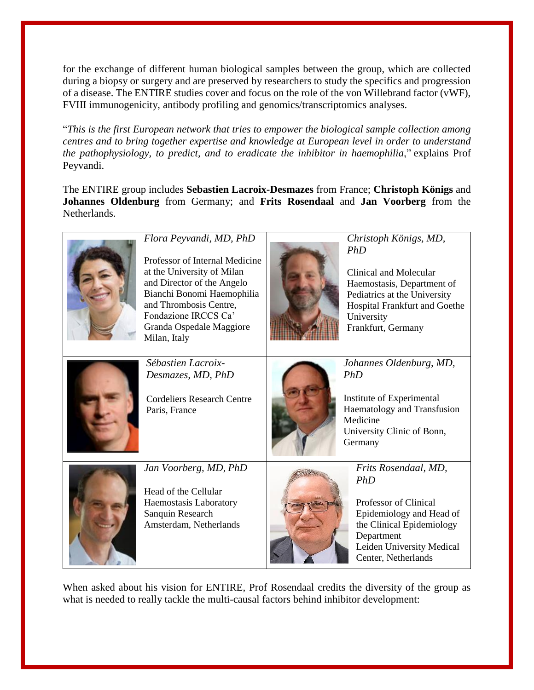for the exchange of different human biological samples between the group, which are collected during a biopsy or surgery and are preserved by researchers to study the specifics and progression of a disease. The ENTIRE studies cover and focus on the role of the von Willebrand factor (vWF), FVIII immunogenicity, antibody profiling and genomics/transcriptomics analyses.

"*This is the first European network that tries to empower the biological sample collection among centres and to bring together expertise and knowledge at European level in order to understand the pathophysiology, to predict, and to eradicate the inhibitor in haemophilia*," explains Prof Peyvandi.

The ENTIRE group includes **Sebastien Lacroix-Desmazes** from France; **Christoph Königs** and **Johannes Oldenburg** from Germany; and **Frits Rosendaal** and **Jan Voorberg** from the Netherlands.



*Flora Peyvandi, MD, PhD*

Professor of Internal Medicine at the University of Milan and Director of the Angelo Bianchi Bonomi Haemophilia and Thrombosis Centre, Fondazione IRCCS Ca' Granda Ospedale Maggiore Milan, Italy



*Christoph Königs, MD, PhD*

Clinical and Molecular Haemostasis, Department of Pediatrics at the University Hospital Frankfurt and Goethe University Frankfurt, Germany



*Sébastien Lacroix-Desmazes, MD, PhD*

Cordeliers Research Centre Paris, France



*Johannes Oldenburg, MD, PhD*

Institute of Experimental Haematology and Transfusion Medicine University Clinic of Bonn, Germany



*Jan Voorberg, MD, PhD*

Head of the Cellular Haemostasis Laboratory Sanquin Research Amsterdam, Netherlands



*Frits Rosendaal, MD, PhD*

Professor of Clinical Epidemiology and Head of the Clinical Epidemiology Department Leiden University Medical Center, Netherlands

When asked about his vision for ENTIRE, Prof Rosendaal credits the diversity of the group as what is needed to really tackle the multi-causal factors behind inhibitor development: